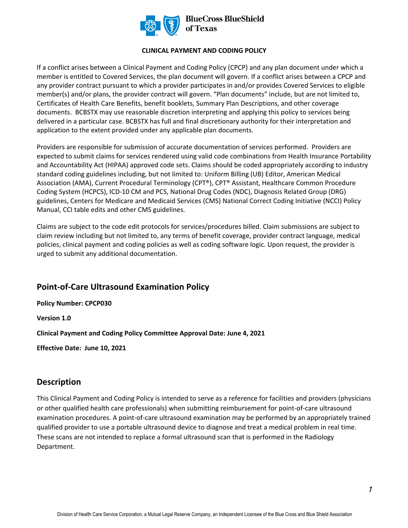

#### **CLINICAL PAYMENT AND CODING POLICY**

If a conflict arises between a Clinical Payment and Coding Policy (CPCP) and any plan document under which a member is entitled to Covered Services, the plan document will govern. If a conflict arises between a CPCP and any provider contract pursuant to which a provider participates in and/or provides Covered Services to eligible member(s) and/or plans, the provider contract will govern. "Plan documents" include, but are not limited to, Certificates of Health Care Benefits, benefit booklets, Summary Plan Descriptions, and other coverage documents. BCBSTX may use reasonable discretion interpreting and applying this policy to services being delivered in a particular case. BCBSTX has full and final discretionary authority for their interpretation and application to the extent provided under any applicable plan documents.

Providers are responsible for submission of accurate documentation of services performed. Providers are expected to submit claims for services rendered using valid code combinations from Health Insurance Portability and Accountability Act (HIPAA) approved code sets. Claims should be coded appropriately according to industry standard coding guidelines including, but not limited to: Uniform Billing (UB) Editor, American Medical Association (AMA), Current Procedural Terminology (CPT®), CPT® Assistant, Healthcare Common Procedure Coding System (HCPCS), ICD-10 CM and PCS, National Drug Codes (NDC), Diagnosis Related Group (DRG) guidelines, Centers for Medicare and Medicaid Services (CMS) National Correct Coding Initiative (NCCI) Policy Manual, CCI table edits and other CMS guidelines.

Claims are subject to the code edit protocols for services/procedures billed. Claim submissions are subject to claim review including but not limited to, any terms of benefit coverage, provider contract language, medical policies, clinical payment and coding policies as well as coding software logic. Upon request, the provider is urged to submit any additional documentation.

# **Point-of-Care Ultrasound Examination Policy**

**Policy Number: CPCP030** 

**Version 1.0** 

**Clinical Payment and Coding Policy Committee Approval Date: June 4, 2021** 

**Effective Date: June 10, 2021** 

# **Description**

This Clinical Payment and Coding Policy is intended to serve as a reference for facilities and providers (physicians or other qualified health care professionals) when submitting reimbursement for point-of-care ultrasound examination procedures. A point-of-care ultrasound examination may be performed by an appropriately trained qualified provider to use a portable ultrasound device to diagnose and treat a medical problem in real time. These scans are not intended to replace a formal ultrasound scan that is performed in the Radiology Department.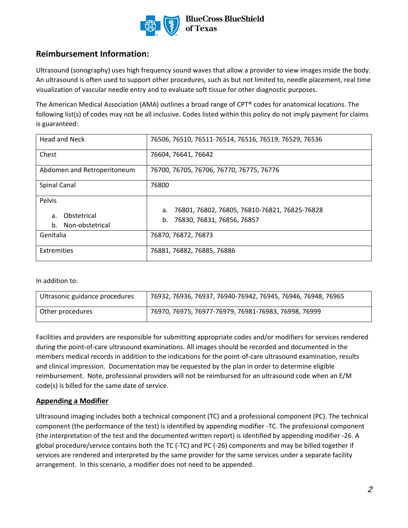

# **Reimbursement Information:**

Ultrasound (sonography) uses high frequency sound waves that allow a provider to view images inside the body. An ultrasound is often used to support other procedures, such as but not limited to, needle placement, real time visualization of vascular needle entry and to evaluate soft tissue for other diagnostic purposes.

The American Medical Association (AMA) outlines a broad range of CPT® codes for anatomical locations. The following list(s) of codes may not be all inclusive. Codes listed within this policy do not imply payment for claims is guaranteed:

| <b>Head and Neck</b>                       | 76506, 76510, 76511-76514, 76516, 76519, 76529, 76536 |
|--------------------------------------------|-------------------------------------------------------|
| Chest                                      | 76604, 76641, 76642                                   |
| Abdomen and Retroperitoneum                | 76700, 76705, 76706, 76770, 76775, 76776              |
| Spinal Canal                               | 76800                                                 |
| Pelvis                                     |                                                       |
|                                            | 76801, 76802, 76805, 76810-76821, 76825-76828<br>а.   |
| Obstetrical<br>a.<br>Non-obstetrical<br>b. | 76830, 76831, 76856, 76857<br>b.                      |
| Genitalia                                  | 76870, 76872, 76873                                   |
| Extremities                                | 76881, 76882, 76885, 76886                            |

In addition to:

| Ultrasonic guidance procedures | 76932, 76936, 76937, 76940-76942, 76945, 76946, 76948, 76965 |
|--------------------------------|--------------------------------------------------------------|
| Other procedures               | 76970, 76975, 76977-76979, 76981-76983, 76998, 76999         |

Facilities and providers are responsible for submitting appropriate codes and/or modifiers for services rendered during the point-of-care ultrasound examinations. All images should be recorded and documented in the members medical records in addition to the indications for the point-of-care ultrasound examination, results and clinical impression. Documentation may be requested by the plan in order to determine eligible reimbursement. Note, professional providers will not be reimbursed for an ultrasound code when an E/M code(s) is billed for the same date of service.

### **Appending a Modifier**

Ultrasound imaging includes both a technical component (TC) and a professional component (PC). The technical component (the performance of the test) is identified by appending modifier -TC. The professional component (the interpretation of the test and the documented written report) is identified by appending modifier -26. A global procedure/service contains both the TC (-TC) and PC (-26) components and may be billed together if services are rendered and interpreted by the same provider for the same services under a separate facility arrangement. In this scenario, a modifier does not need to be appended.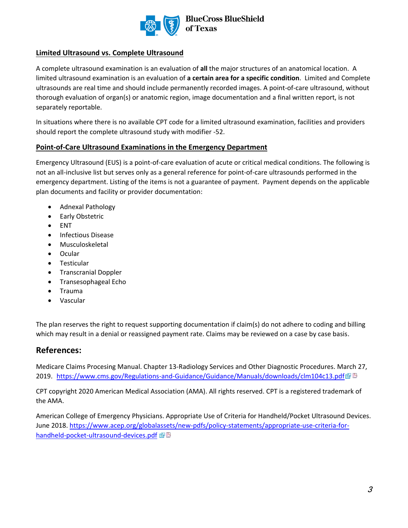

#### **Limited Ultrasound vs. Complete Ultrasound**

A complete ultrasound examination is an evaluation of **all** the major structures of an anatomical location. A limited ultrasound examination is an evaluation of **a certain area for a specific condition**. Limited and Complete ultrasounds are real time and should include permanently recorded images. A point-of-care ultrasound, without thorough evaluation of organ(s) or anatomic region, image documentation and a final written report, is not separately reportable.

In situations where there is no available CPT code for a limited ultrasound examination, facilities and providers should report the complete ultrasound study with modifier -52.

#### **Point-of-Care Ultrasound Examinations in the Emergency Department**

Emergency Ultrasound (EUS) is a point-of-care evaluation of acute or critical medical conditions. The following is not an all-inclusive list but serves only as a general reference for point-of-care ultrasounds performed in the emergency department. Listing of the items is not a guarantee of payment. Payment depends on the applicable plan documents and facility or provider documentation:

- Adnexal Pathology
- Early Obstetric
- ENT
- Infectious Disease
- Musculoskeletal
- Ocular
- Testicular
- Transcranial Doppler
- Transesophageal Echo
- Trauma
- Vascular

The plan reserves the right to request supporting documentation if claim(s) do not adhere to coding and billing which may result in a denial or reassigned payment rate. Claims may be reviewed on a case by case basis.

### **References:**

[Medicare Claims Procesing Manual. Chapter 13-Radiology Services and Other Diagnostic Procedures. March 27,](file:///C:/Users/U362170/AppData/Local/Microsoft/Windows/INetCache/Content.Outlook/MGL86WZ3/Medicare%20Claims%20Procesing%20Manual.%20Chapter%2013-Radiology%20Services%20and%20Other%20Diagnostic%20Procedures.%20March%2027,%202019.%20%20https:/www.cms.gov/Regulations-and-Guidance/Guidance/Manuals/downloads/clm104c13.pdf)  [2019.](file:///C:/Users/U362170/AppData/Local/Microsoft/Windows/INetCache/Content.Outlook/MGL86WZ3/Medicare%20Claims%20Procesing%20Manual.%20Chapter%2013-Radiology%20Services%20and%20Other%20Diagnostic%20Procedures.%20March%2027,%202019.%20%20https:/www.cms.gov/Regulations-and-Guidance/Guidance/Manuals/downloads/clm104c13.pdf) <https://www.cms.gov/Regulations-and-Guidance/Guidance/Manuals/downloads/clm104c13.pdf>@<sup>因</sup>

CPT copyright 2020 American Medical Association (AMA). All rights reserved. CPT is a registered trademark of the AMA.

American College of Emergency Physicians. Appropriate Use of Criteria for Handheld/Pocket Ultrasound Devices. June 2018[. https://www.acep.org/globalassets/new-pdfs/policy-statements/appropriate-use-criteria-for](https://www.acep.org/globalassets/new-pdfs/policy-statements/appropriate-use-criteria-for-handheld-pocket-ultrasound-devices.pdf)[handheld-pocket-ultrasound-devices.pdf](https://www.acep.org/globalassets/new-pdfs/policy-statements/appropriate-use-criteria-for-handheld-pocket-ultrasound-devices.pdf) 函图